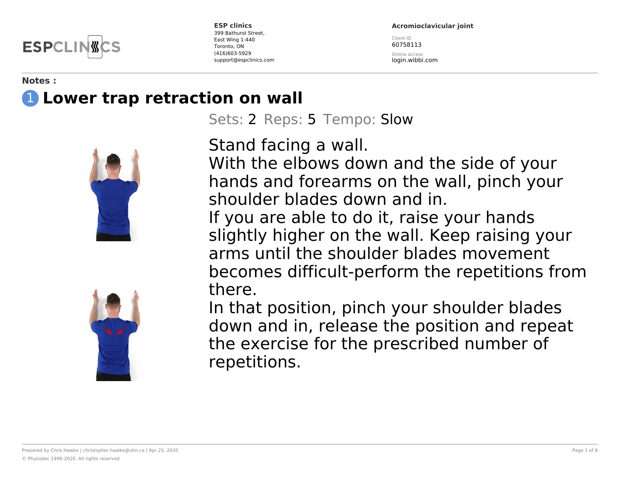**ESPCLI** 

**Acromioclavicular joint**

Client ID 60758113

Online access login.wibbi.com

#### **Notes :** 1 **Lower trap retraction on wall**





Sets: 2 Reps: 5 Tempo: Slow

Stand facing a wall.

With the elbows down and the side of your hands and forearms on the wall, pinch your shoulder blades down and in.

If you are able to do it, raise your hands slightly higher on the wall. Keep raising your arms until the shoulder blades movement becomes difficult-perform the repetitions from there.

In that position, pinch your shoulder blades down and in, release the position and repeat the exercise for the prescribed number of repetitions.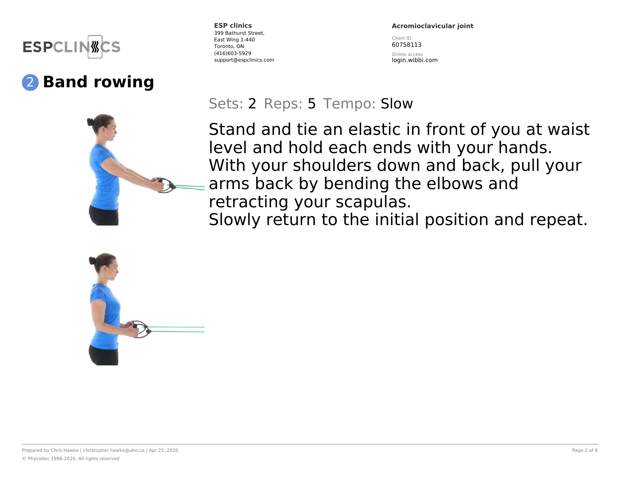

### 2 **Band rowing**

**ESP clinics** 399 Bathurst Street, East Wing 1-440 Toronto, ON (416)603-5929 support@espclinics.com **Acromioclavicular joint**

Client ID 60758113

Online access login.wibbi.com

#### Sets: 2 Reps: 5 Tempo: Slow

Stand and tie an elastic in front of you at waist level and hold each ends with your hands. With your shoulders down and back, pull your arms back by bending the elbows and retracting your scapulas.

Slowly return to the initial position and repeat.

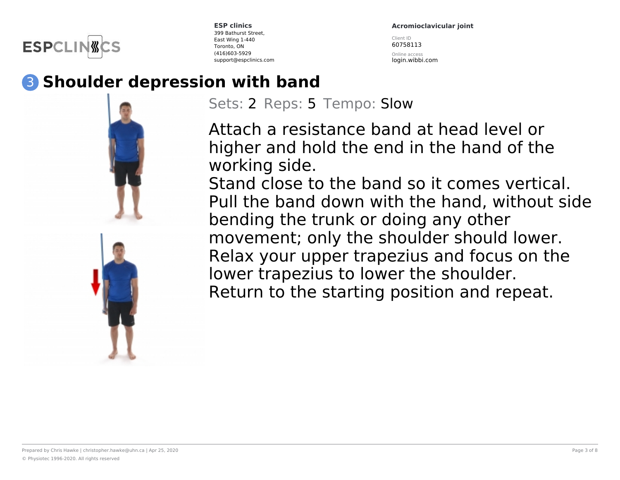

**Acromioclavicular joint**

Client ID 60758113 Online access login.wibbi.com

#### 3 **Shoulder depression with band**



Sets: 2 Reps: 5 Tempo: Slow

Attach a resistance band at head level or higher and hold the end in the hand of the working side.

Stand close to the band so it comes vertical. Pull the band down with the hand, without side bending the trunk or doing any other movement; only the shoulder should lower. Relax your upper trapezius and focus on the lower trapezius to lower the shoulder. Return to the starting position and repeat.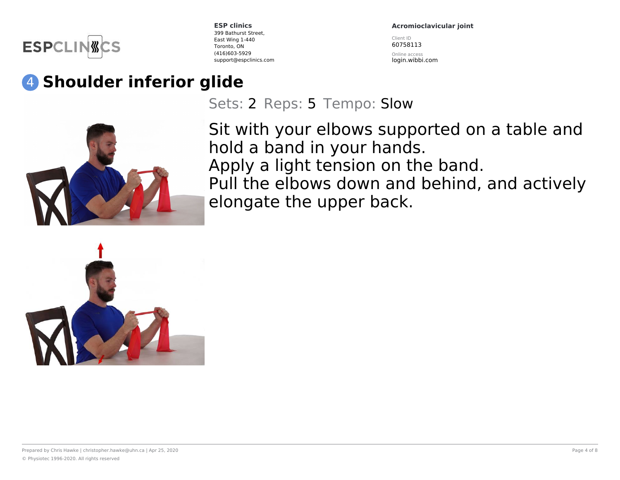

**Acromioclavicular joint**

Client ID 60758113

Online access login.wibbi.com

# 4 **Shoulder inferior glide**

Sets: 2 Reps: 5 Tempo: Slow



Sit with your elbows supported on a table and hold a band in your hands. Apply a light tension on the band. Pull the elbows down and behind, and actively elongate the upper back.

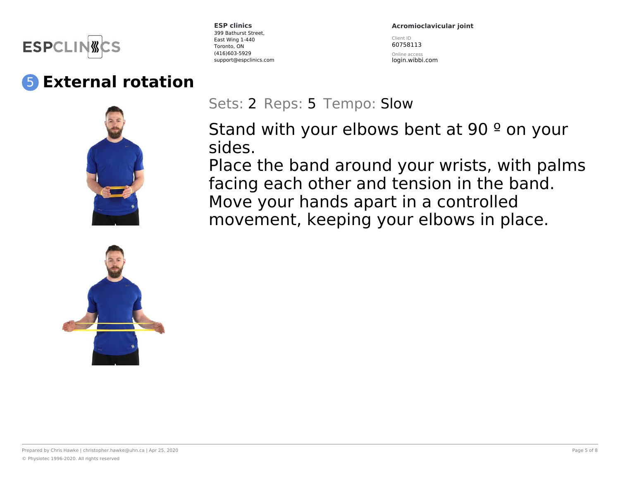

### 5 **External rotation**





**ESP clinics** 399 Bathurst Street, East Wing 1-440 Toronto, ON (416)603-5929 support@espclinics.com **Acromioclavicular joint**

Client ID 60758113

Online access login.wibbi.com

Sets: 2 Reps: 5 Tempo: Slow

Stand with your elbows bent at 90 <sup>o</sup> on your sides.

Place the band around your wrists, with palms facing each other and tension in the band. Move your hands apart in a controlled movement, keeping your elbows in place.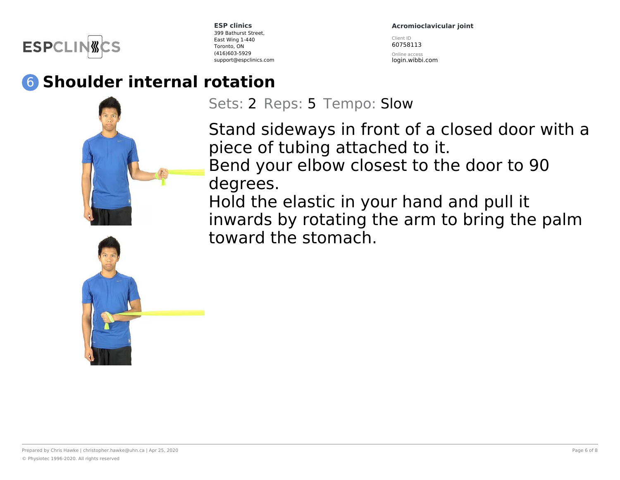

**Acromioclavicular joint**

Client ID 60758113

Online access login.wibbi.com

## 6 **Shoulder internal rotation**

Sets: 2 Reps: 5 Tempo: Slow

Stand sideways in front of a closed door with a piece of tubing attached to it. Bend your elbow closest to the door to 90 degrees.

Hold the elastic in your hand and pull it inwards by rotating the arm to bring the palm toward the stomach.

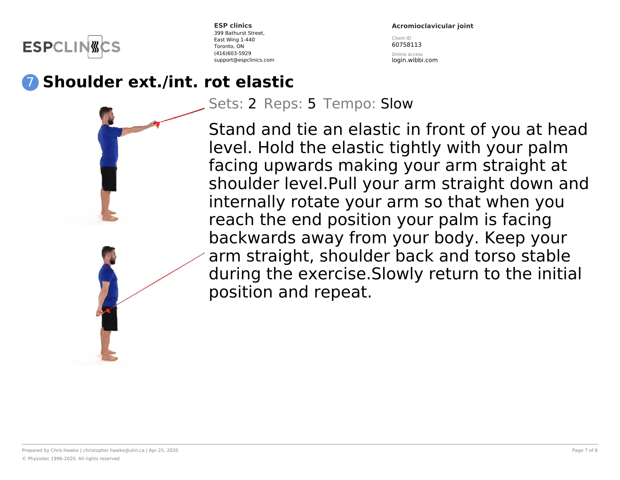**ESPCLIN** 

**Acromioclavicular joint**

Client ID 60758113 Online access login.wibbi.com

#### 7 **Shoulder ext./int. rot elastic**

Sets: 2 Reps: 5 Tempo: Slow

Stand and tie an elastic in front of you at head level. Hold the elastic tightly with your palm facing upwards making your arm straight at shoulder level.Pull your arm straight down and internally rotate your arm so that when you reach the end position your palm is facing backwards away from your body. Keep your arm straight, shoulder back and torso stable during the exercise.Slowly return to the initial position and repeat.